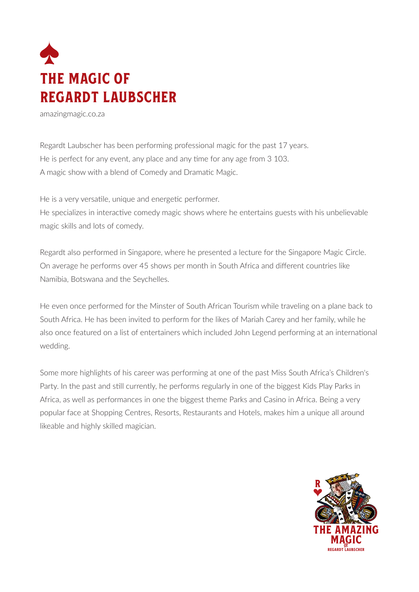

amazingmagic.co.za

Regardt Laubscher has been performing professional magic for the past 17 years. He is perfect for any event, any place and any time for any age from 3 103. A magic show with a blend of Comedy and Dramatic Magic.

He is a very versatile, unique and energetic performer.

He specializes in interactive comedy magic shows where he entertains guests with his unbelievable magic skills and lots of comedy.

Regardt also performed in Singapore, where he presented a lecture for the Singapore Magic Circle. On average he performs over 45 shows per month in South Africa and different countries like Namibia, Botswana and the Seychelles.

He even once performed for the Minster of South African Tourism while traveling on a plane back to South Africa. He has been invited to perform for the likes of Mariah Carey and her family, while he also once featured on a list of entertainers which included John Legend performing at an international wedding.

Some more highlights of his career was performing at one of the past Miss South Africa's Children's Party. In the past and still currently, he performs regularly in one of the biggest Kids Play Parks in Africa, as well as performances in one the biggest theme Parks and Casino in Africa. Being a very popular face at Shopping Centres, Resorts, Restaurants and Hotels, makes him a unique all around likeable and highly skilled magician.